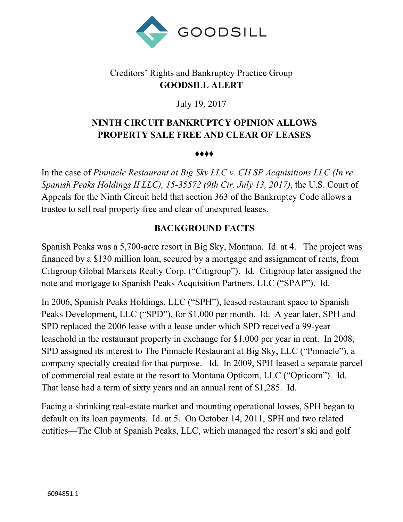

## Creditors' Rights and Bankruptcy Practice Group **GOODSILL ALERT**

July 19, 2017

## **NINTH CIRCUIT BANKRUPTCY OPINION ALLOWS PROPERTY SALE FREE AND CLEAR OF LEASES**

♦♦♦♦

In the case of *Pinnacle Restaurant at Big Sky LLC v. CH SP Acquisitions LLC (In re Spanish Peaks Holdings II LLC), 15-35572 (9th Cir. July 13, 2017)*, the U.S. Court of Appeals for the Ninth Circuit held that section 363 of the Bankruptcy Code allows a trustee to sell real property free and clear of unexpired leases.

### **BACKGROUND FACTS**

Spanish Peaks was a 5,700-acre resort in Big Sky, Montana. Id. at 4. The project was financed by a \$130 million loan, secured by a mortgage and assignment of rents, from Citigroup Global Markets Realty Corp. ("Citigroup"). Id. Citigroup later assigned the note and mortgage to Spanish Peaks Acquisition Partners, LLC ("SPAP"). Id.

In 2006, Spanish Peaks Holdings, LLC ("SPH"), leased restaurant space to Spanish Peaks Development, LLC ("SPD"), for \$1,000 per month. Id. A year later, SPH and SPD replaced the 2006 lease with a lease under which SPD received a 99-year leasehold in the restaurant property in exchange for \$1,000 per year in rent. In 2008, SPD assigned its interest to The Pinnacle Restaurant at Big Sky, LLC ("Pinnacle"), a company specially created for that purpose. Id. In 2009, SPH leased a separate parcel of commercial real estate at the resort to Montana Opticom, LLC ("Opticom"). Id. That lease had a term of sixty years and an annual rent of \$1,285. Id.

Facing a shrinking real-estate market and mounting operational losses, SPH began to default on its loan payments. Id. at 5. On October 14, 2011, SPH and two related entities—The Club at Spanish Peaks, LLC, which managed the resort's ski and golf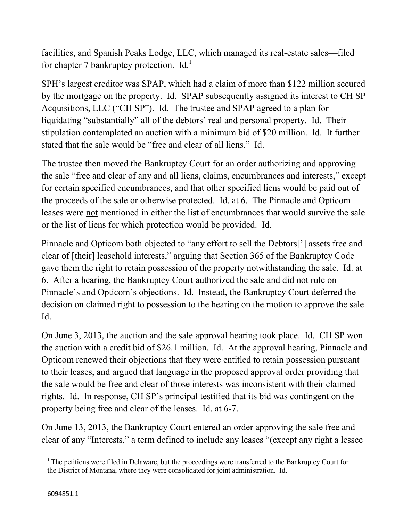facilities, and Spanish Peaks Lodge, LLC, which managed its real-estate sales—filed for chapter 7 bankruptcy protection.  $Id.$ <sup>1</sup>

SPH's largest creditor was SPAP, which had a claim of more than \$122 million secured by the mortgage on the property. Id. SPAP subsequently assigned its interest to CH SP Acquisitions, LLC ("CH SP"). Id. The trustee and SPAP agreed to a plan for liquidating "substantially" all of the debtors' real and personal property. Id. Their stipulation contemplated an auction with a minimum bid of \$20 million. Id. It further stated that the sale would be "free and clear of all liens." Id.

The trustee then moved the Bankruptcy Court for an order authorizing and approving the sale "free and clear of any and all liens, claims, encumbrances and interests," except for certain specified encumbrances, and that other specified liens would be paid out of the proceeds of the sale or otherwise protected. Id. at 6. The Pinnacle and Opticom leases were not mentioned in either the list of encumbrances that would survive the sale or the list of liens for which protection would be provided. Id.

Pinnacle and Opticom both objected to "any effort to sell the Debtors['] assets free and clear of [their] leasehold interests," arguing that Section 365 of the Bankruptcy Code gave them the right to retain possession of the property notwithstanding the sale. Id. at 6. After a hearing, the Bankruptcy Court authorized the sale and did not rule on Pinnacle's and Opticom's objections. Id. Instead, the Bankruptcy Court deferred the decision on claimed right to possession to the hearing on the motion to approve the sale. Id.

On June 3, 2013, the auction and the sale approval hearing took place. Id. CH SP won the auction with a credit bid of \$26.1 million. Id. At the approval hearing, Pinnacle and Opticom renewed their objections that they were entitled to retain possession pursuant to their leases, and argued that language in the proposed approval order providing that the sale would be free and clear of those interests was inconsistent with their claimed rights. Id. In response, CH SP's principal testified that its bid was contingent on the property being free and clear of the leases. Id. at 6-7.

On June 13, 2013, the Bankruptcy Court entered an order approving the sale free and clear of any "Interests," a term defined to include any leases "(except any right a lessee

l

<sup>&</sup>lt;sup>1</sup> The petitions were filed in Delaware, but the proceedings were transferred to the Bankruptcy Court for the District of Montana, where they were consolidated for joint administration. Id.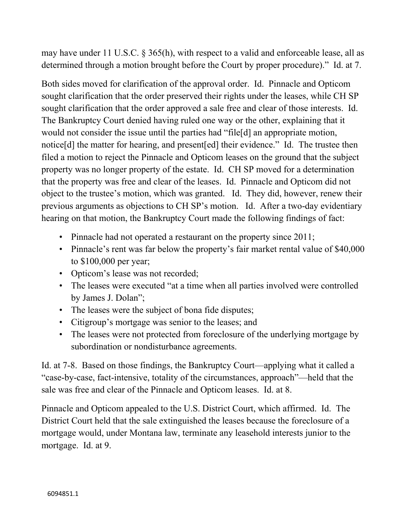may have under 11 U.S.C. § 365(h), with respect to a valid and enforceable lease, all as determined through a motion brought before the Court by proper procedure)." Id. at 7.

Both sides moved for clarification of the approval order. Id. Pinnacle and Opticom sought clarification that the order preserved their rights under the leases, while CH SP sought clarification that the order approved a sale free and clear of those interests. Id. The Bankruptcy Court denied having ruled one way or the other, explaining that it would not consider the issue until the parties had "file[d] an appropriate motion, notice[d] the matter for hearing, and present[ed] their evidence." Id. The trustee then filed a motion to reject the Pinnacle and Opticom leases on the ground that the subject property was no longer property of the estate. Id. CH SP moved for a determination that the property was free and clear of the leases. Id. Pinnacle and Opticom did not object to the trustee's motion, which was granted. Id. They did, however, renew their previous arguments as objections to CH SP's motion. Id. After a two-day evidentiary hearing on that motion, the Bankruptcy Court made the following findings of fact:

- Pinnacle had not operated a restaurant on the property since 2011;
- Pinnacle's rent was far below the property's fair market rental value of \$40,000 to \$100,000 per year;
- Opticom's lease was not recorded;
- The leases were executed "at a time when all parties involved were controlled by James J. Dolan";
- The leases were the subject of bona fide disputes;
- Citigroup's mortgage was senior to the leases; and
- The leases were not protected from foreclosure of the underlying mortgage by subordination or nondisturbance agreements.

Id. at 7-8. Based on those findings, the Bankruptcy Court—applying what it called a "case-by-case, fact-intensive, totality of the circumstances, approach"—held that the sale was free and clear of the Pinnacle and Opticom leases. Id. at 8.

Pinnacle and Opticom appealed to the U.S. District Court, which affirmed. Id. The District Court held that the sale extinguished the leases because the foreclosure of a mortgage would, under Montana law, terminate any leasehold interests junior to the mortgage. Id. at 9.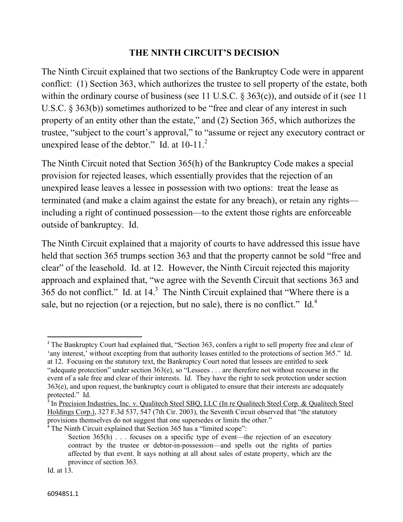#### **THE NINTH CIRCUIT'S DECISION**

The Ninth Circuit explained that two sections of the Bankruptcy Code were in apparent conflict: (1) Section 363, which authorizes the trustee to sell property of the estate, both within the ordinary course of business (see 11 U.S.C. § 363(c)), and outside of it (see 11 U.S.C. § 363(b)) sometimes authorized to be "free and clear of any interest in such property of an entity other than the estate," and (2) Section 365, which authorizes the trustee, "subject to the court's approval," to "assume or reject any executory contract or unexpired lease of the debtor." Id. at  $10-11$ .<sup>2</sup>

The Ninth Circuit noted that Section 365(h) of the Bankruptcy Code makes a special provision for rejected leases, which essentially provides that the rejection of an unexpired lease leaves a lessee in possession with two options: treat the lease as terminated (and make a claim against the estate for any breach), or retain any rights including a right of continued possession—to the extent those rights are enforceable outside of bankruptcy. Id.

The Ninth Circuit explained that a majority of courts to have addressed this issue have held that section 365 trumps section 363 and that the property cannot be sold "free and clear" of the leasehold. Id. at 12. However, the Ninth Circuit rejected this majority approach and explained that, "we agree with the Seventh Circuit that sections 363 and 365 do not conflict." Id. at  $14<sup>3</sup>$  The Ninth Circuit explained that "Where there is a sale, but no rejection (or a rejection, but no sale), there is no conflict." Id.<sup>4</sup>

l

<sup>&</sup>lt;sup>2</sup> The Bankruptcy Court had explained that, "Section 363, confers a right to sell property free and clear of 'any interest,' without excepting from that authority leases entitled to the protections of section 365." Id. at 12. Focusing on the statutory text, the Bankruptcy Court noted that lessees are entitled to seek "adequate protection" under section 363(e), so "Lessees . . . are therefore not without recourse in the event of a sale free and clear of their interests. Id. They have the right to seek protection under section 363(e), and upon request, the bankruptcy court is obligated to ensure that their interests are adequately protected." Id.

<sup>&</sup>lt;sup>3</sup> In Precision Industries, Inc. v. Qualitech Steel SBQ, LLC (In re Qualitech Steel Corp. & Qualitech Steel Holdings Corp.), 327 F.3d 537, 547 (7th Cir. 2003), the Seventh Circuit observed that "the statutory provisions themselves do not suggest that one supersedes or limits the other."

<sup>&</sup>lt;sup>4</sup> The Ninth Circuit explained that Section 365 has a "limited scope":

Section  $365(h)$ ... focuses on a specific type of event—the rejection of an executory contract by the trustee or debtor-in-possession—and spells out the rights of parties affected by that event. It says nothing at all about sales of estate property, which are the province of section 363.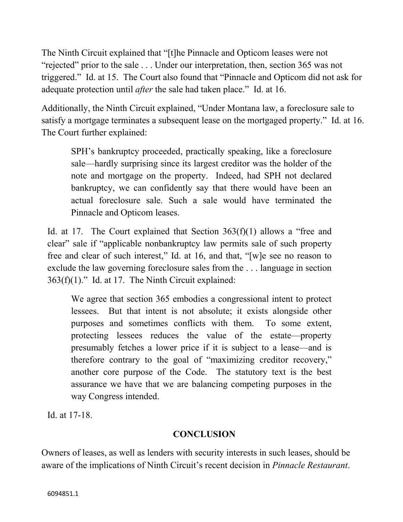The Ninth Circuit explained that "[t]he Pinnacle and Opticom leases were not "rejected" prior to the sale . . . Under our interpretation, then, section 365 was not triggered." Id. at 15. The Court also found that "Pinnacle and Opticom did not ask for adequate protection until *after* the sale had taken place." Id. at 16.

Additionally, the Ninth Circuit explained, "Under Montana law, a foreclosure sale to satisfy a mortgage terminates a subsequent lease on the mortgaged property." Id. at 16. The Court further explained:

SPH's bankruptcy proceeded, practically speaking, like a foreclosure sale—hardly surprising since its largest creditor was the holder of the note and mortgage on the property. Indeed, had SPH not declared bankruptcy, we can confidently say that there would have been an actual foreclosure sale. Such a sale would have terminated the Pinnacle and Opticom leases.

Id. at 17. The Court explained that Section 363(f)(1) allows a "free and clear" sale if "applicable nonbankruptcy law permits sale of such property free and clear of such interest," Id. at 16, and that, "[w]e see no reason to exclude the law governing foreclosure sales from the . . . language in section  $363(f)(1)$ ." Id. at 17. The Ninth Circuit explained:

We agree that section 365 embodies a congressional intent to protect lessees. But that intent is not absolute; it exists alongside other purposes and sometimes conflicts with them. To some extent, protecting lessees reduces the value of the estate—property presumably fetches a lower price if it is subject to a lease—and is therefore contrary to the goal of "maximizing creditor recovery," another core purpose of the Code. The statutory text is the best assurance we have that we are balancing competing purposes in the way Congress intended.

Id. at 17-18.

# **CONCLUSION**

Owners of leases, as well as lenders with security interests in such leases, should be aware of the implications of Ninth Circuit's recent decision in *Pinnacle Restaurant*.